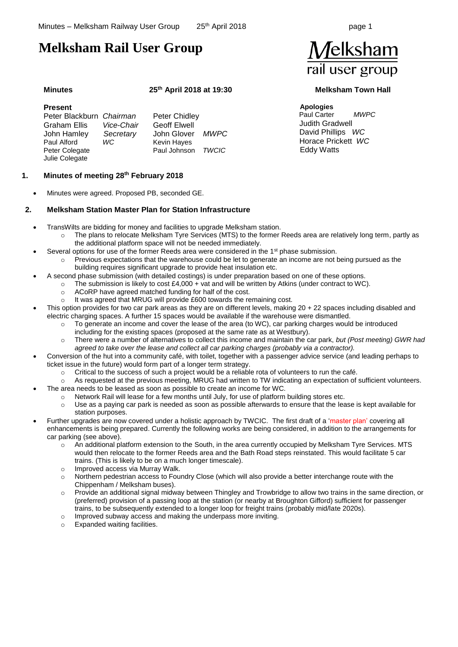# **Melksham Rail User Group**

# **Minutes 25th April 2018 at 19:30 Melksham Town Hall**

# **Present**

| Peter Blackburn Chairman |            | Peter Chidley       |       |
|--------------------------|------------|---------------------|-------|
| Graham Ellis             | Vice-Chair | <b>Geoff Elwell</b> |       |
| John Hamley              | Secretary  | John Glover MWPC    |       |
| Paul Alford              | WC         | <b>Kevin Hayes</b>  |       |
| Peter Colegate           |            | Paul Johnson        | TWCIC |
| Julie Colegate           |            |                     |       |

# **1. Minutes of meeting 28th February 2018**

• Minutes were agreed. Proposed PB, seconded GE.

# **2. Melksham Station Master Plan for Station Infrastructure**

- TransWilts are bidding for money and facilities to upgrade Melksham station.
	- o The plans to relocate Melksham Tyre Services (MTS) to the former Reeds area are relatively long term, partly as the additional platform space will not be needed immediately.
	- Several options for use of the former Reeds area were considered in the  $1<sup>st</sup>$  phase submission.
		- $\circ$  Previous expectations that the warehouse could be let to generate an income are not being pursued as the building requires significant upgrade to provide heat insulation etc.
- A second phase submission (with detailed costings) is under preparation based on one of these options.
	- The submission is likely to cost  $£4,000 + \text{vat}$  and will be written by Atkins (under contract to WC).
		- o ACoRP have agreed matched funding for half of the cost.
		- o It was agreed that MRUG will provide £600 towards the remaining cost.
- This option provides for two car park areas as they are on different levels, making 20 + 22 spaces including disabled and electric charging spaces. A further 15 spaces would be available if the warehouse were dismantled.
	- o To generate an income and cover the lease of the area (to WC), car parking charges would be introduced including for the existing spaces (proposed at the same rate as at Westbury).
	- o There were a number of alternatives to collect this income and maintain the car park, *but (Post meeting) GWR had agreed to take over the lease and collect all car parking charges (probably via a contractor).*
- Conversion of the hut into a community café, with toilet, together with a passenger advice service (and leading perhaps to ticket issue in the future) would form part of a longer term strategy.
	- o Critical to the success of such a project would be a reliable rota of volunteers to run the café.
	- o As requested at the previous meeting, MRUG had written to TW indicating an expectation of sufficient volunteers.
	- The area needs to be leased as soon as possible to create an income for WC.
		- $\circ$  Network Rail will lease for a few months until July, for use of platform building stores etc.
			- $\circ$  Use as a paying car park is needed as soon as possible afterwards to ensure that the lease is kept available for station purposes.
- Further upgrades are now covered under a holistic approach by TWCIC. The first draft of a 'master plan' covering all enhancements is being prepared. Currently the following works are being considered, in addition to the arrangements for car parking (see above).
	- o An additional platform extension to the South, in the area currently occupied by Melksham Tyre Services. MTS would then relocate to the former Reeds area and the Bath Road steps reinstated. This would facilitate 5 car trains. (This is likely to be on a much longer timescale).
	- Improved access via Murray Walk.
	- o Northern pedestrian access to Foundry Close (which will also provide a better interchange route with the Chippenham / Melksham buses).
	- o Provide an additional signal midway between Thingley and Trowbridge to allow two trains in the same direction, or (preferred) provision of a passing loop at the station (or nearby at Broughton Gifford) sufficient for passenger trains, to be subsequently extended to a longer loop for freight trains (probably mid/late 2020s).
	- o Improved subway access and making the underpass more inviting.
	- o Expanded waiting facilities.



### **Apologies**

Paul Carter *MWPC* Judith Gradwell David Phillips *WC* Horace Prickett *WC* Eddy Watts